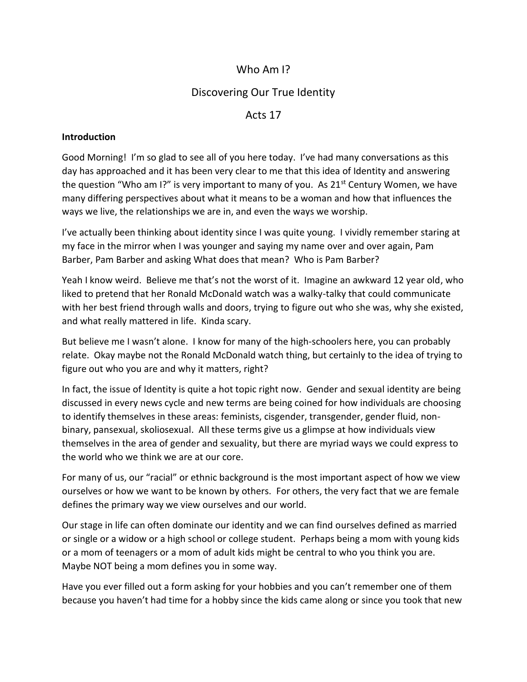# Who Am I?

# Discovering Our True Identity

# Acts 17

### **Introduction**

Good Morning! I'm so glad to see all of you here today. I've had many conversations as this day has approached and it has been very clear to me that this idea of Identity and answering the question "Who am I?" is very important to many of you. As  $21^{st}$  Century Women, we have many differing perspectives about what it means to be a woman and how that influences the ways we live, the relationships we are in, and even the ways we worship.

I've actually been thinking about identity since I was quite young. I vividly remember staring at my face in the mirror when I was younger and saying my name over and over again, Pam Barber, Pam Barber and asking What does that mean? Who is Pam Barber?

Yeah I know weird. Believe me that's not the worst of it. Imagine an awkward 12 year old, who liked to pretend that her Ronald McDonald watch was a walky-talky that could communicate with her best friend through walls and doors, trying to figure out who she was, why she existed, and what really mattered in life. Kinda scary.

But believe me I wasn't alone. I know for many of the high-schoolers here, you can probably relate. Okay maybe not the Ronald McDonald watch thing, but certainly to the idea of trying to figure out who you are and why it matters, right?

In fact, the issue of Identity is quite a hot topic right now. Gender and sexual identity are being discussed in every news cycle and new terms are being coined for how individuals are choosing to identify themselves in these areas: feminists, cisgender, transgender, gender fluid, nonbinary, pansexual, skoliosexual. All these terms give us a glimpse at how individuals view themselves in the area of gender and sexuality, but there are myriad ways we could express to the world who we think we are at our core.

For many of us, our "racial" or ethnic background is the most important aspect of how we view ourselves or how we want to be known by others. For others, the very fact that we are female defines the primary way we view ourselves and our world.

Our stage in life can often dominate our identity and we can find ourselves defined as married or single or a widow or a high school or college student. Perhaps being a mom with young kids or a mom of teenagers or a mom of adult kids might be central to who you think you are. Maybe NOT being a mom defines you in some way.

Have you ever filled out a form asking for your hobbies and you can't remember one of them because you haven't had time for a hobby since the kids came along or since you took that new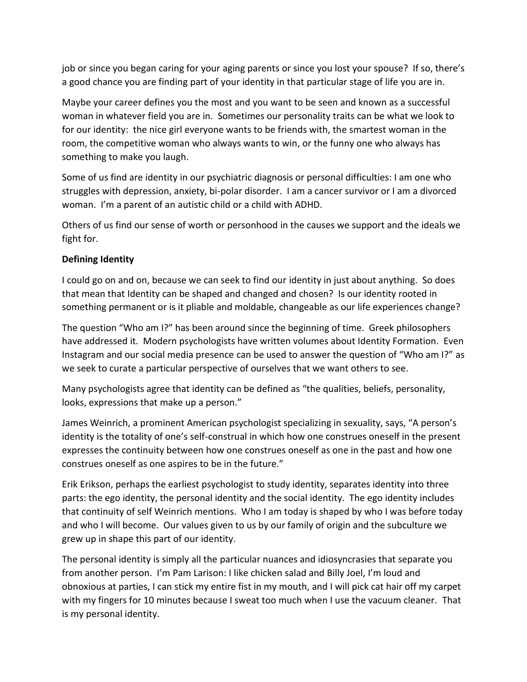job or since you began caring for your aging parents or since you lost your spouse? If so, there's a good chance you are finding part of your identity in that particular stage of life you are in.

Maybe your career defines you the most and you want to be seen and known as a successful woman in whatever field you are in. Sometimes our personality traits can be what we look to for our identity: the nice girl everyone wants to be friends with, the smartest woman in the room, the competitive woman who always wants to win, or the funny one who always has something to make you laugh.

Some of us find are identity in our psychiatric diagnosis or personal difficulties: I am one who struggles with depression, anxiety, bi-polar disorder. I am a cancer survivor or I am a divorced woman. I'm a parent of an autistic child or a child with ADHD.

Others of us find our sense of worth or personhood in the causes we support and the ideals we fight for.

# **Defining Identity**

I could go on and on, because we can seek to find our identity in just about anything. So does that mean that Identity can be shaped and changed and chosen? Is our identity rooted in something permanent or is it pliable and moldable, changeable as our life experiences change?

The question "Who am I?" has been around since the beginning of time. Greek philosophers have addressed it. Modern psychologists have written volumes about Identity Formation. Even Instagram and our social media presence can be used to answer the question of "Who am I?" as we seek to curate a particular perspective of ourselves that we want others to see.

Many psychologists agree that identity can be defined as "the qualities, beliefs, personality, looks, expressions that make up a person."

James Weinrich, a prominent American psychologist specializing in sexuality, says, "A person's identity is the totality of one's self-construal in which how one construes oneself in the present expresses the continuity between how one construes oneself as one in the past and how one construes oneself as one aspires to be in the future."

Erik Erikson, perhaps the earliest psychologist to study identity, separates identity into three parts: the ego identity, the personal identity and the social identity. The ego identity includes that continuity of self Weinrich mentions. Who I am today is shaped by who I was before today and who I will become. Our values given to us by our family of origin and the subculture we grew up in shape this part of our identity.

The personal identity is simply all the particular nuances and idiosyncrasies that separate you from another person. I'm Pam Larison: I like chicken salad and Billy Joel, I'm loud and obnoxious at parties, I can stick my entire fist in my mouth, and I will pick cat hair off my carpet with my fingers for 10 minutes because I sweat too much when I use the vacuum cleaner. That is my personal identity.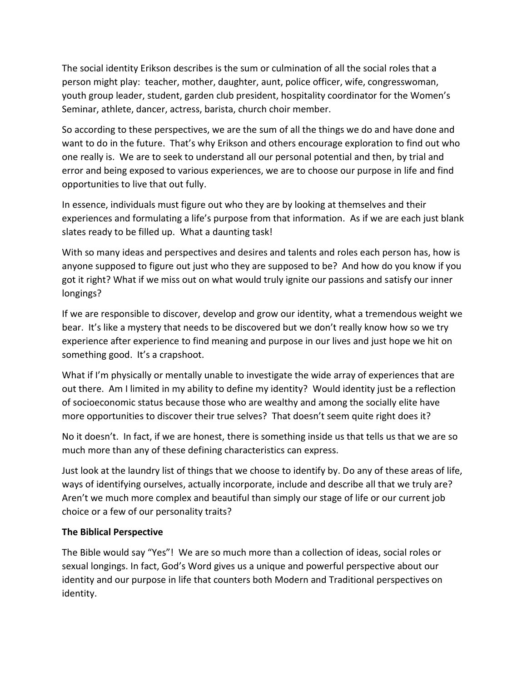The social identity Erikson describes is the sum or culmination of all the social roles that a person might play: teacher, mother, daughter, aunt, police officer, wife, congresswoman, youth group leader, student, garden club president, hospitality coordinator for the Women's Seminar, athlete, dancer, actress, barista, church choir member.

So according to these perspectives, we are the sum of all the things we do and have done and want to do in the future. That's why Erikson and others encourage exploration to find out who one really is. We are to seek to understand all our personal potential and then, by trial and error and being exposed to various experiences, we are to choose our purpose in life and find opportunities to live that out fully.

In essence, individuals must figure out who they are by looking at themselves and their experiences and formulating a life's purpose from that information. As if we are each just blank slates ready to be filled up. What a daunting task!

With so many ideas and perspectives and desires and talents and roles each person has, how is anyone supposed to figure out just who they are supposed to be? And how do you know if you got it right? What if we miss out on what would truly ignite our passions and satisfy our inner longings?

If we are responsible to discover, develop and grow our identity, what a tremendous weight we bear. It's like a mystery that needs to be discovered but we don't really know how so we try experience after experience to find meaning and purpose in our lives and just hope we hit on something good. It's a crapshoot.

What if I'm physically or mentally unable to investigate the wide array of experiences that are out there. Am I limited in my ability to define my identity? Would identity just be a reflection of socioeconomic status because those who are wealthy and among the socially elite have more opportunities to discover their true selves? That doesn't seem quite right does it?

No it doesn't. In fact, if we are honest, there is something inside us that tells us that we are so much more than any of these defining characteristics can express.

Just look at the laundry list of things that we choose to identify by. Do any of these areas of life, ways of identifying ourselves, actually incorporate, include and describe all that we truly are? Aren't we much more complex and beautiful than simply our stage of life or our current job choice or a few of our personality traits?

# **The Biblical Perspective**

The Bible would say "Yes"! We are so much more than a collection of ideas, social roles or sexual longings. In fact, God's Word gives us a unique and powerful perspective about our identity and our purpose in life that counters both Modern and Traditional perspectives on identity.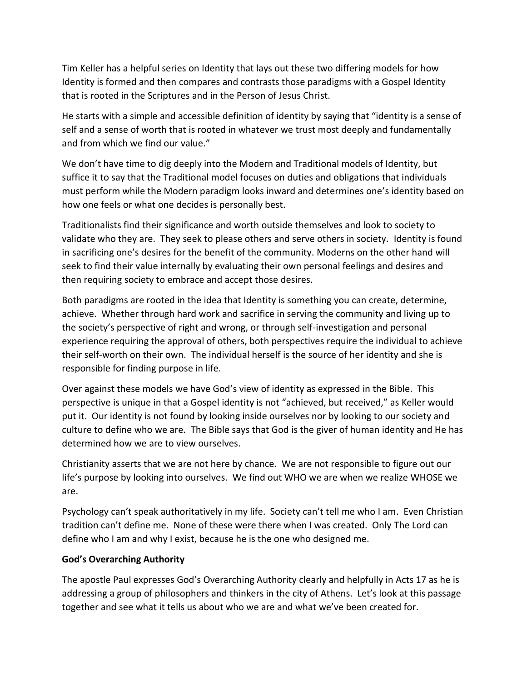Tim Keller has a helpful series on Identity that lays out these two differing models for how Identity is formed and then compares and contrasts those paradigms with a Gospel Identity that is rooted in the Scriptures and in the Person of Jesus Christ.

He starts with a simple and accessible definition of identity by saying that "identity is a sense of self and a sense of worth that is rooted in whatever we trust most deeply and fundamentally and from which we find our value."

We don't have time to dig deeply into the Modern and Traditional models of Identity, but suffice it to say that the Traditional model focuses on duties and obligations that individuals must perform while the Modern paradigm looks inward and determines one's identity based on how one feels or what one decides is personally best.

Traditionalists find their significance and worth outside themselves and look to society to validate who they are. They seek to please others and serve others in society. Identity is found in sacrificing one's desires for the benefit of the community. Moderns on the other hand will seek to find their value internally by evaluating their own personal feelings and desires and then requiring society to embrace and accept those desires.

Both paradigms are rooted in the idea that Identity is something you can create, determine, achieve. Whether through hard work and sacrifice in serving the community and living up to the society's perspective of right and wrong, or through self-investigation and personal experience requiring the approval of others, both perspectives require the individual to achieve their self-worth on their own. The individual herself is the source of her identity and she is responsible for finding purpose in life.

Over against these models we have God's view of identity as expressed in the Bible. This perspective is unique in that a Gospel identity is not "achieved, but received," as Keller would put it. Our identity is not found by looking inside ourselves nor by looking to our society and culture to define who we are. The Bible says that God is the giver of human identity and He has determined how we are to view ourselves.

Christianity asserts that we are not here by chance. We are not responsible to figure out our life's purpose by looking into ourselves. We find out WHO we are when we realize WHOSE we are.

Psychology can't speak authoritatively in my life. Society can't tell me who I am. Even Christian tradition can't define me. None of these were there when I was created. Only The Lord can define who I am and why I exist, because he is the one who designed me.

# **God's Overarching Authority**

The apostle Paul expresses God's Overarching Authority clearly and helpfully in Acts 17 as he is addressing a group of philosophers and thinkers in the city of Athens. Let's look at this passage together and see what it tells us about who we are and what we've been created for.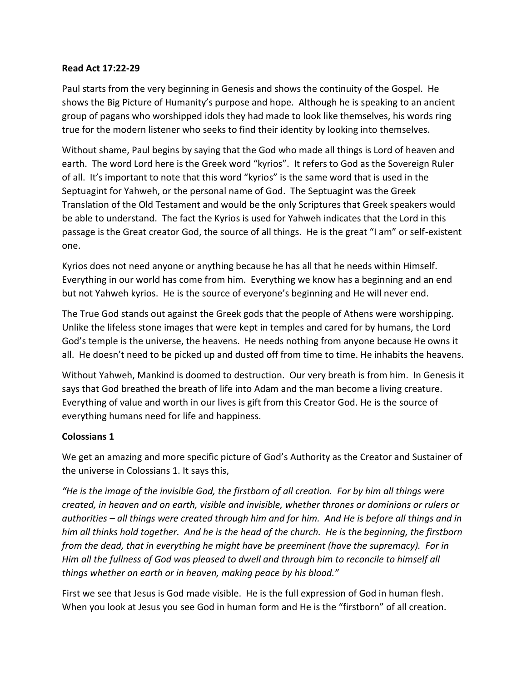#### **Read Act 17:22-29**

Paul starts from the very beginning in Genesis and shows the continuity of the Gospel. He shows the Big Picture of Humanity's purpose and hope. Although he is speaking to an ancient group of pagans who worshipped idols they had made to look like themselves, his words ring true for the modern listener who seeks to find their identity by looking into themselves.

Without shame, Paul begins by saying that the God who made all things is Lord of heaven and earth. The word Lord here is the Greek word "kyrios". It refers to God as the Sovereign Ruler of all. It's important to note that this word "kyrios" is the same word that is used in the Septuagint for Yahweh, or the personal name of God. The Septuagint was the Greek Translation of the Old Testament and would be the only Scriptures that Greek speakers would be able to understand. The fact the Kyrios is used for Yahweh indicates that the Lord in this passage is the Great creator God, the source of all things. He is the great "I am" or self-existent one.

Kyrios does not need anyone or anything because he has all that he needs within Himself. Everything in our world has come from him. Everything we know has a beginning and an end but not Yahweh kyrios. He is the source of everyone's beginning and He will never end.

The True God stands out against the Greek gods that the people of Athens were worshipping. Unlike the lifeless stone images that were kept in temples and cared for by humans, the Lord God's temple is the universe, the heavens. He needs nothing from anyone because He owns it all. He doesn't need to be picked up and dusted off from time to time. He inhabits the heavens.

Without Yahweh, Mankind is doomed to destruction. Our very breath is from him. In Genesis it says that God breathed the breath of life into Adam and the man become a living creature. Everything of value and worth in our lives is gift from this Creator God. He is the source of everything humans need for life and happiness.

# **Colossians 1**

We get an amazing and more specific picture of God's Authority as the Creator and Sustainer of the universe in Colossians 1. It says this,

*"He is the image of the invisible God, the firstborn of all creation. For by him all things were created, in heaven and on earth, visible and invisible, whether thrones or dominions or rulers or authorities – all things were created through him and for him. And He is before all things and in him all thinks hold together. And he is the head of the church. He is the beginning, the firstborn from the dead, that in everything he might have be preeminent (have the supremacy). For in Him all the fullness of God was pleased to dwell and through him to reconcile to himself all things whether on earth or in heaven, making peace by his blood."*

First we see that Jesus is God made visible. He is the full expression of God in human flesh. When you look at Jesus you see God in human form and He is the "firstborn" of all creation.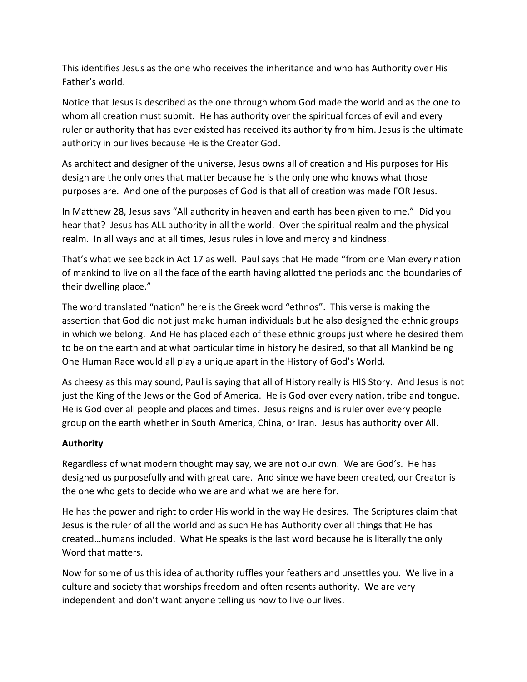This identifies Jesus as the one who receives the inheritance and who has Authority over His Father's world.

Notice that Jesus is described as the one through whom God made the world and as the one to whom all creation must submit. He has authority over the spiritual forces of evil and every ruler or authority that has ever existed has received its authority from him. Jesus is the ultimate authority in our lives because He is the Creator God.

As architect and designer of the universe, Jesus owns all of creation and His purposes for His design are the only ones that matter because he is the only one who knows what those purposes are. And one of the purposes of God is that all of creation was made FOR Jesus.

In Matthew 28, Jesus says "All authority in heaven and earth has been given to me." Did you hear that? Jesus has ALL authority in all the world. Over the spiritual realm and the physical realm. In all ways and at all times, Jesus rules in love and mercy and kindness.

That's what we see back in Act 17 as well. Paul says that He made "from one Man every nation of mankind to live on all the face of the earth having allotted the periods and the boundaries of their dwelling place."

The word translated "nation" here is the Greek word "ethnos". This verse is making the assertion that God did not just make human individuals but he also designed the ethnic groups in which we belong. And He has placed each of these ethnic groups just where he desired them to be on the earth and at what particular time in history he desired, so that all Mankind being One Human Race would all play a unique apart in the History of God's World.

As cheesy as this may sound, Paul is saying that all of History really is HIS Story. And Jesus is not just the King of the Jews or the God of America. He is God over every nation, tribe and tongue. He is God over all people and places and times. Jesus reigns and is ruler over every people group on the earth whether in South America, China, or Iran. Jesus has authority over All.

# **Authority**

Regardless of what modern thought may say, we are not our own. We are God's. He has designed us purposefully and with great care. And since we have been created, our Creator is the one who gets to decide who we are and what we are here for.

He has the power and right to order His world in the way He desires. The Scriptures claim that Jesus is the ruler of all the world and as such He has Authority over all things that He has created…humans included. What He speaks is the last word because he is literally the only Word that matters.

Now for some of us this idea of authority ruffles your feathers and unsettles you. We live in a culture and society that worships freedom and often resents authority. We are very independent and don't want anyone telling us how to live our lives.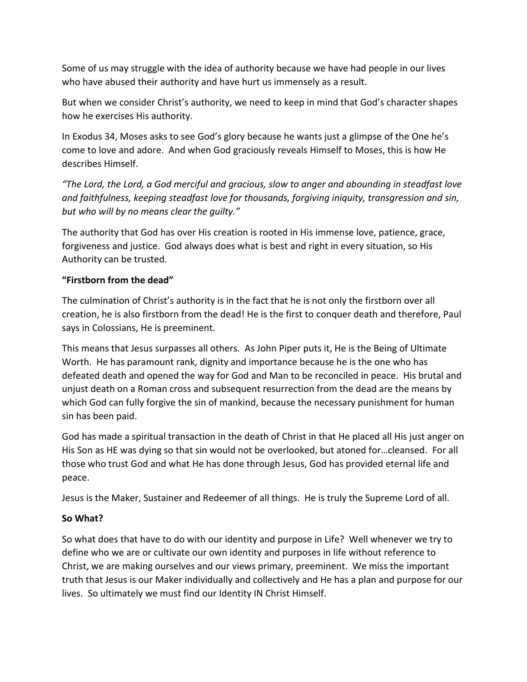Some of us may struggle with the idea of authority because we have had people in our lives who have abused their authority and have hurt us immensely as a result.

But when we consider Christ's authority, we need to keep in mind that God's character shapes how he exercises His authority.

In Exodus 34, Moses asks to see God's glory because he wants just a glimpse of the One he's come to love and adore. And when God graciously reveals Himself to Moses, this is how He describes Himself.

*"The Lord, the Lord, a God merciful and gracious, slow to anger and abounding in steadfast love and faithfulness, keeping steadfast love for thousands, forgiving iniquity, transgression and sin, but who will by no means clear the guilty."*

The authority that God has over His creation is rooted in His immense love, patience, grace, forgiveness and justice. God always does what is best and right in every situation, so His Authority can be trusted.

# **"Firstborn from the dead"**

The culmination of Christ's authority is in the fact that he is not only the firstborn over all creation, he is also firstborn from the dead! He is the first to conquer death and therefore, Paul says in Colossians, He is preeminent.

This means that Jesus surpasses all others. As John Piper puts it, He is the Being of Ultimate Worth. He has paramount rank, dignity and importance because he is the one who has defeated death and opened the way for God and Man to be reconciled in peace. His brutal and unjust death on a Roman cross and subsequent resurrection from the dead are the means by which God can fully forgive the sin of mankind, because the necessary punishment for human sin has been paid.

God has made a spiritual transaction in the death of Christ in that He placed all His just anger on His Son as HE was dying so that sin would not be overlooked, but atoned for…cleansed. For all those who trust God and what He has done through Jesus, God has provided eternal life and peace.

Jesus is the Maker, Sustainer and Redeemer of all things. He is truly the Supreme Lord of all.

# **So What?**

So what does that have to do with our identity and purpose in Life? Well whenever we try to define who we are or cultivate our own identity and purposes in life without reference to Christ, we are making ourselves and our views primary, preeminent. We miss the important truth that Jesus is our Maker individually and collectively and He has a plan and purpose for our lives. So ultimately we must find our Identity IN Christ Himself.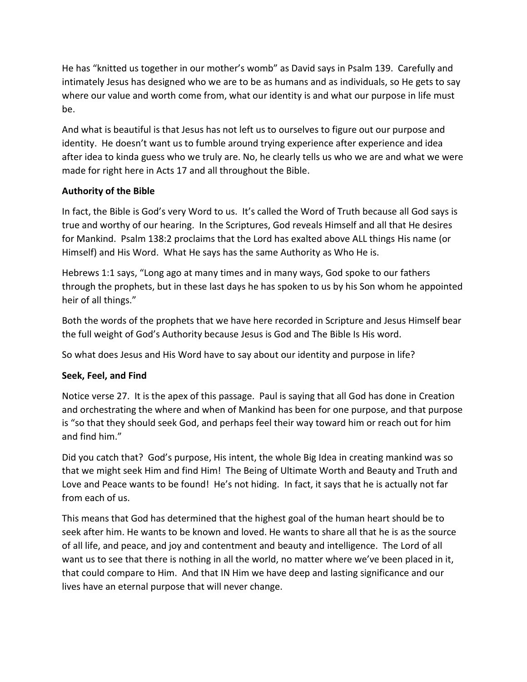He has "knitted us together in our mother's womb" as David says in Psalm 139. Carefully and intimately Jesus has designed who we are to be as humans and as individuals, so He gets to say where our value and worth come from, what our identity is and what our purpose in life must be.

And what is beautiful is that Jesus has not left us to ourselves to figure out our purpose and identity. He doesn't want us to fumble around trying experience after experience and idea after idea to kinda guess who we truly are. No, he clearly tells us who we are and what we were made for right here in Acts 17 and all throughout the Bible.

# **Authority of the Bible**

In fact, the Bible is God's very Word to us. It's called the Word of Truth because all God says is true and worthy of our hearing. In the Scriptures, God reveals Himself and all that He desires for Mankind. Psalm 138:2 proclaims that the Lord has exalted above ALL things His name (or Himself) and His Word. What He says has the same Authority as Who He is.

Hebrews 1:1 says, "Long ago at many times and in many ways, God spoke to our fathers through the prophets, but in these last days he has spoken to us by his Son whom he appointed heir of all things."

Both the words of the prophets that we have here recorded in Scripture and Jesus Himself bear the full weight of God's Authority because Jesus is God and The Bible Is His word.

So what does Jesus and His Word have to say about our identity and purpose in life?

# **Seek, Feel, and Find**

Notice verse 27. It is the apex of this passage. Paul is saying that all God has done in Creation and orchestrating the where and when of Mankind has been for one purpose, and that purpose is "so that they should seek God, and perhaps feel their way toward him or reach out for him and find him."

Did you catch that? God's purpose, His intent, the whole Big Idea in creating mankind was so that we might seek Him and find Him! The Being of Ultimate Worth and Beauty and Truth and Love and Peace wants to be found! He's not hiding. In fact, it says that he is actually not far from each of us.

This means that God has determined that the highest goal of the human heart should be to seek after him. He wants to be known and loved. He wants to share all that he is as the source of all life, and peace, and joy and contentment and beauty and intelligence. The Lord of all want us to see that there is nothing in all the world, no matter where we've been placed in it, that could compare to Him. And that IN Him we have deep and lasting significance and our lives have an eternal purpose that will never change.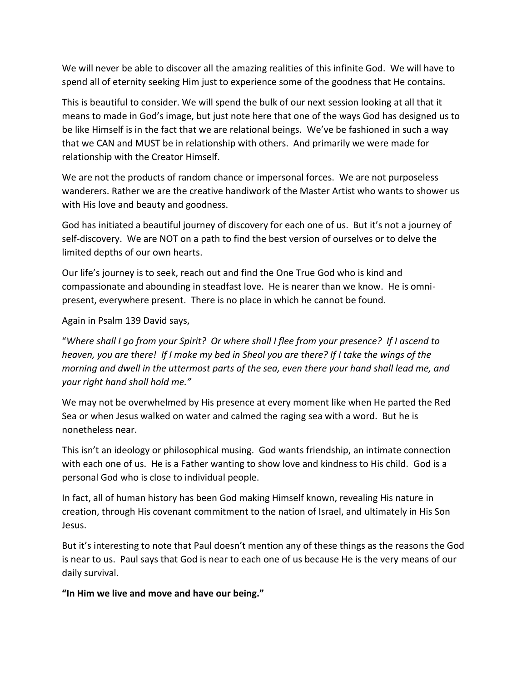We will never be able to discover all the amazing realities of this infinite God. We will have to spend all of eternity seeking Him just to experience some of the goodness that He contains.

This is beautiful to consider. We will spend the bulk of our next session looking at all that it means to made in God's image, but just note here that one of the ways God has designed us to be like Himself is in the fact that we are relational beings. We've be fashioned in such a way that we CAN and MUST be in relationship with others. And primarily we were made for relationship with the Creator Himself.

We are not the products of random chance or impersonal forces. We are not purposeless wanderers. Rather we are the creative handiwork of the Master Artist who wants to shower us with His love and beauty and goodness.

God has initiated a beautiful journey of discovery for each one of us. But it's not a journey of self-discovery. We are NOT on a path to find the best version of ourselves or to delve the limited depths of our own hearts.

Our life's journey is to seek, reach out and find the One True God who is kind and compassionate and abounding in steadfast love. He is nearer than we know. He is omnipresent, everywhere present. There is no place in which he cannot be found.

Again in Psalm 139 David says,

"*Where shall I go from your Spirit? Or where shall I flee from your presence? If I ascend to heaven, you are there! If I make my bed in Sheol you are there? If I take the wings of the morning and dwell in the uttermost parts of the sea, even there your hand shall lead me, and your right hand shall hold me."*

We may not be overwhelmed by His presence at every moment like when He parted the Red Sea or when Jesus walked on water and calmed the raging sea with a word. But he is nonetheless near.

This isn't an ideology or philosophical musing. God wants friendship, an intimate connection with each one of us. He is a Father wanting to show love and kindness to His child. God is a personal God who is close to individual people.

In fact, all of human history has been God making Himself known, revealing His nature in creation, through His covenant commitment to the nation of Israel, and ultimately in His Son Jesus.

But it's interesting to note that Paul doesn't mention any of these things as the reasons the God is near to us. Paul says that God is near to each one of us because He is the very means of our daily survival.

**"In Him we live and move and have our being."**